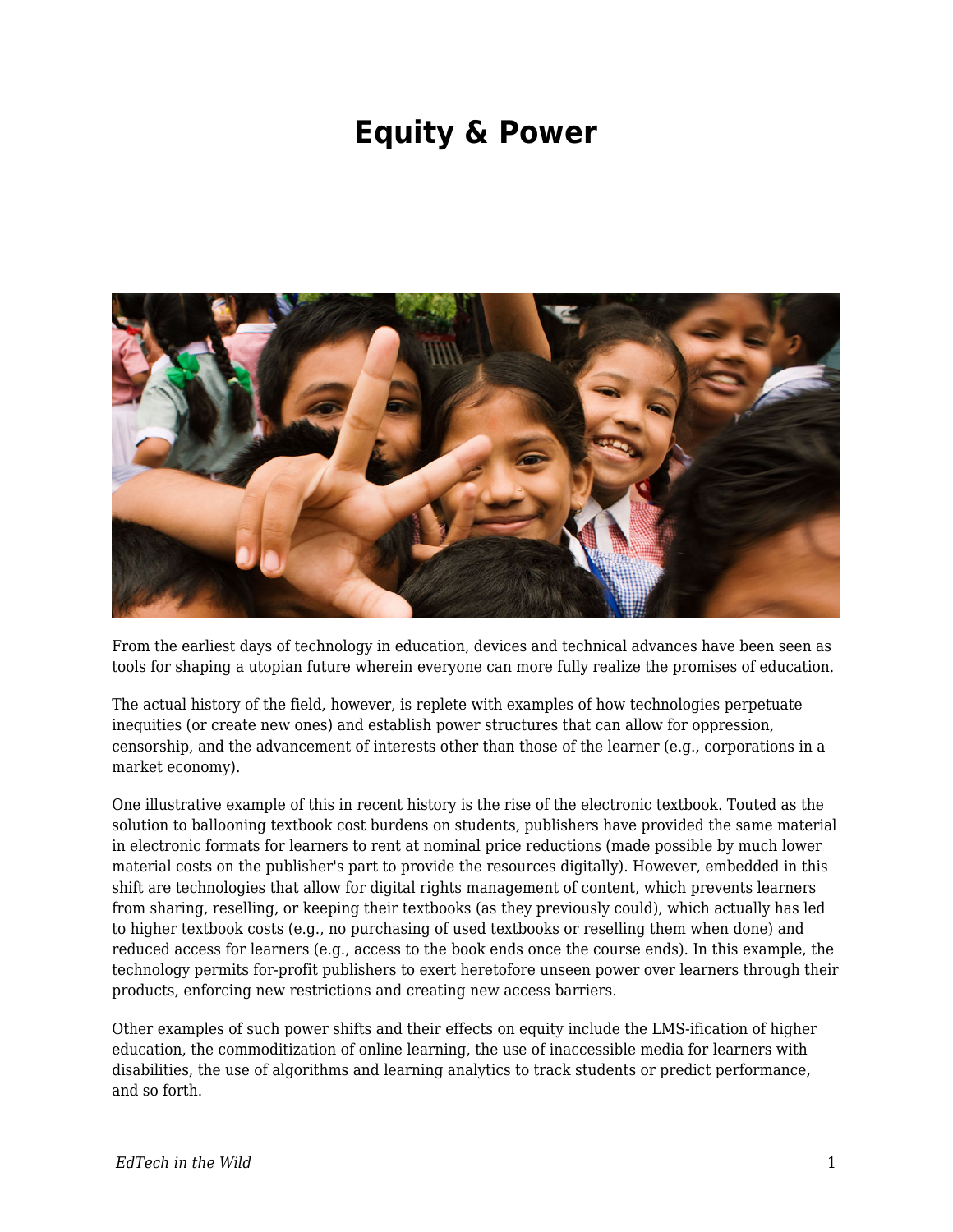## **Equity & Power**



From the earliest days of technology in education, devices and technical advances have been seen as tools for shaping a utopian future wherein everyone can more fully realize the promises of education.

The actual history of the field, however, is replete with examples of how technologies perpetuate inequities (or create new ones) and establish power structures that can allow for oppression, censorship, and the advancement of interests other than those of the learner (e.g., corporations in a market economy).

One illustrative example of this in recent history is the rise of the electronic textbook. Touted as the solution to ballooning textbook cost burdens on students, publishers have provided the same material in electronic formats for learners to rent at nominal price reductions (made possible by much lower material costs on the publisher's part to provide the resources digitally). However, embedded in this shift are technologies that allow for digital rights management of content, which prevents learners from sharing, reselling, or keeping their textbooks (as they previously could), which actually has led to higher textbook costs (e.g., no purchasing of used textbooks or reselling them when done) and reduced access for learners (e.g., access to the book ends once the course ends). In this example, the technology permits for-profit publishers to exert heretofore unseen power over learners through their products, enforcing new restrictions and creating new access barriers.

Other examples of such power shifts and their effects on equity include the LMS-ification of higher education, the commoditization of online learning, the use of inaccessible media for learners with disabilities, the use of algorithms and learning analytics to track students or predict performance, and so forth.